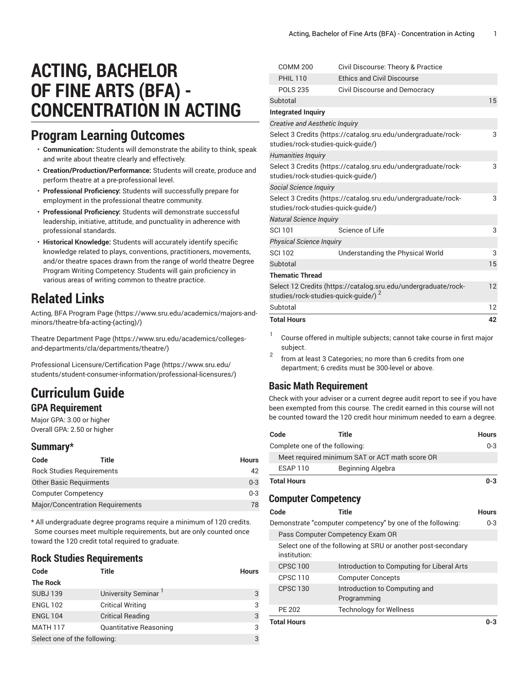# **ACTING, BACHELOR OF FINE ARTS (BFA) - CONCENTRATION IN ACTING**

## **Program Learning Outcomes**

- **Communication:** Students will demonstrate the ability to think, speak and write about theatre clearly and effectively.
- **Creation/Production/Performance:** Students will create, produce and perform theatre at a pre-professional level.
- **Professional Proficiency:** Students will successfully prepare for employment in the professional theatre community.
- **Professional Proficiency:** Students will demonstrate successful leadership, initiative, attitude, and punctuality in adherence with professional standards.
- **Historical Knowledge:** Students will accurately identify specific knowledge related to plays, conventions, practitioners, movements, and/or theatre spaces drawn from the range of world theatre Degree Program Writing Competency: Students will gain proficiency in various areas of writing common to theatre practice.

# **Related Links**

Acting, BFA [Program](https://www.sru.edu/academics/majors-and-minors/theatre-bfa-acting-(acting)/) Page [\(https://www.sru.edu/academics/majors-and](https://www.sru.edu/academics/majors-and-minors/theatre-bfa-acting-(acting)/)[minors/theatre-bfa-acting-\(acting\)/\)](https://www.sru.edu/academics/majors-and-minors/theatre-bfa-acting-(acting)/)

Theatre [Department](https://www.sru.edu/academics/colleges-and-departments/cla/departments/theatre/) Page ([https://www.sru.edu/academics/colleges](https://www.sru.edu/academics/colleges-and-departments/cla/departments/theatre/)[and-departments/cla/departments/theatre/](https://www.sru.edu/academics/colleges-and-departments/cla/departments/theatre/))

Professional [Licensure/Certification](https://www.sru.edu/students/student-consumer-information/professional-licensures/) Page ([https://www.sru.edu/](https://www.sru.edu/students/student-consumer-information/professional-licensures/) [students/student-consumer-information/professional-licensures/\)](https://www.sru.edu/students/student-consumer-information/professional-licensures/)

# **Curriculum Guide**

### **GPA Requirement**

Major GPA: 3.00 or higher Overall GPA: 2.50 or higher

## **Summary\***

| Code                           | Title                                   | <b>Hours</b> |
|--------------------------------|-----------------------------------------|--------------|
|                                | <b>Rock Studies Requirements</b>        | 42           |
| <b>Other Basic Requirments</b> |                                         | $0 - 3$      |
| <b>Computer Competency</b>     |                                         | $0 - 3$      |
|                                | <b>Major/Concentration Requirements</b> | 78           |

\* All undergraduate degree programs require a minimum of 120 credits. Some courses meet multiple requirements, but are only counted once toward the 120 credit total required to graduate.

## **Rock Studies Requirements**

| Code                         | Title                   | <b>Hours</b> |
|------------------------------|-------------------------|--------------|
| <b>The Rock</b>              |                         |              |
| <b>SUBJ139</b>               | University Seminar      | 3            |
| <b>ENGL 102</b>              | <b>Critical Writing</b> | 3            |
| <b>ENGL 104</b>              | <b>Critical Reading</b> | 3            |
| <b>MATH 117</b>              | Quantitative Reasoning  | 3            |
| Select one of the following: |                         | 3            |

| <b>Total Hours</b>                              |                                                                | 42 |
|-------------------------------------------------|----------------------------------------------------------------|----|
| Subtotal                                        |                                                                | 12 |
| studies/rock-studies-quick-guide/) <sup>2</sup> | Select 12 Credits (https://catalog.sru.edu/undergraduate/rock- | 12 |
| <b>Thematic Thread</b>                          |                                                                |    |
| Subtotal                                        |                                                                | 15 |
| <b>SCI 102</b>                                  | Understanding the Physical World                               | 3  |
| <b>Physical Science Inquiry</b>                 |                                                                |    |
| <b>SCI 101</b>                                  | Science of Life                                                | 3  |
| <b>Natural Science Inquiry</b>                  |                                                                |    |
| studies/rock-studies-quick-quide/)              | Select 3 Credits (https://catalog.sru.edu/undergraduate/rock-  | 3  |
| Social Science Inquiry                          |                                                                |    |
| studies/rock-studies-quick-quide/)              |                                                                |    |
|                                                 | Select 3 Credits (https://catalog.sru.edu/undergraduate/rock-  | 3  |
| <b>Humanities Inquiry</b>                       |                                                                |    |
| studies/rock-studies-quick-guide/)              | Select 3 Credits (https://catalog.sru.edu/undergraduate/rock-  | 3  |
| <b>Creative and Aesthetic Inquiry</b>           |                                                                |    |
| <b>Integrated Inquiry</b>                       |                                                                |    |
| Subtotal                                        |                                                                | 15 |
| <b>POLS 235</b>                                 | Civil Discourse and Democracy                                  |    |
| <b>PHIL 110</b>                                 | <b>Ethics and Civil Discourse</b>                              |    |
| <b>COMM 200</b>                                 | Civil Discourse: Theory & Practice                             |    |

- 1 Course offered in multiple subjects; cannot take course in first major subject.
- 2 from at least 3 Categories; no more than 6 credits from one department; 6 credits must be 300-level or above.

## **Basic Math Requirement**

Check with your adviser or a current degree audit report to see if you have been exempted from this course. The credit earned in this course will not be counted toward the 120 credit hour minimum needed to earn a degree.

| Code                           | Title                                                        | <b>Hours</b> |
|--------------------------------|--------------------------------------------------------------|--------------|
| Complete one of the following: |                                                              | $0 - 3$      |
|                                | Meet required minimum SAT or ACT math score OR               |              |
| <b>ESAP 110</b>                | Beginning Algebra                                            |              |
| <b>Total Hours</b>             |                                                              | $0 - 3$      |
| <b>Computer Competency</b>     |                                                              |              |
| Code                           | Title                                                        | Hours        |
|                                | Demonstrate "computer competency" by one of the following:   | $0 - 3$      |
|                                | Pass Computer Competency Exam OR                             |              |
| institution:                   | Select one of the following at SRU or another post-secondary |              |
| <b>CPSC 100</b>                | Introduction to Computing for Liberal Arts                   |              |
| <b>CPSC 110</b>                | <b>Computer Concepts</b>                                     |              |
| <b>CPSC 130</b>                | Introduction to Computing and<br>Programming                 |              |
| <b>PE 202</b>                  | <b>Technology for Wellness</b>                               |              |
| <b>Total Hours</b>             |                                                              | $0 - 3$      |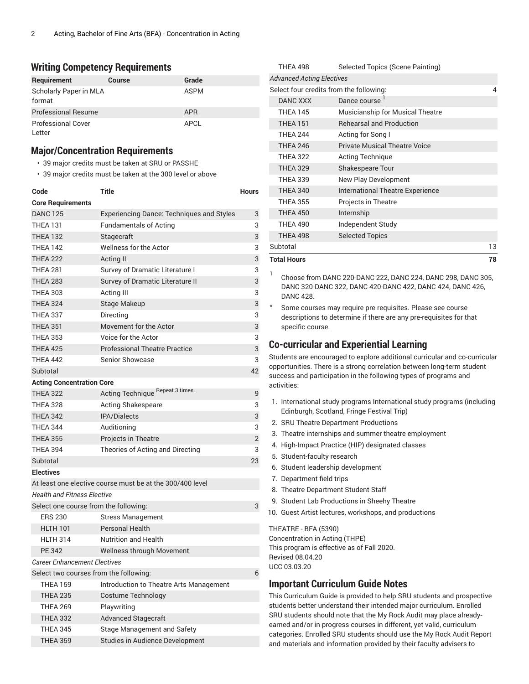#### **Writing Competency Requirements**

| Requirement                | Course | Grade      |
|----------------------------|--------|------------|
| Scholarly Paper in MLA     |        | ASPM       |
| format                     |        |            |
| <b>Professional Resume</b> |        | <b>APR</b> |
| <b>Professional Cover</b>  |        | APCL       |
| Letter                     |        |            |

#### **Major/Concentration Requirements**

- 39 major credits must be taken at SRU or PASSHE
- 39 major credits must be taken at the 300 level or above

| Code                                   | <b>Title</b>                                              | <b>Hours</b> |
|----------------------------------------|-----------------------------------------------------------|--------------|
| <b>Core Requirements</b>               |                                                           |              |
| <b>DANC 125</b>                        | <b>Experiencing Dance: Techniques and Styles</b>          | 3            |
| <b>THEA 131</b>                        | <b>Fundamentals of Acting</b>                             | 3            |
| <b>THEA 132</b>                        | Stagecraft                                                | 3            |
| <b>THEA 142</b>                        | Wellness for the Actor                                    | 3            |
| <b>THEA 222</b>                        | Acting II                                                 | 3            |
| <b>THEA 281</b>                        | Survey of Dramatic Literature I                           | 3            |
| <b>THEA 283</b>                        | Survey of Dramatic Literature II                          | 3            |
| <b>THEA 303</b>                        | Acting III                                                | 3            |
| <b>THEA 324</b>                        | Stage Makeup                                              | 3            |
| <b>THEA 337</b>                        | Directing                                                 | 3            |
| <b>THEA 351</b>                        | Movement for the Actor                                    | 3            |
| <b>THEA 353</b>                        | Voice for the Actor                                       | 3            |
| THEA 425                               | <b>Professional Theatre Practice</b>                      | 3            |
| <b>THEA 442</b>                        | Senior Showcase                                           | 3            |
| Subtotal                               |                                                           | 42           |
| <b>Acting Concentration Core</b>       |                                                           |              |
| <b>THEA 322</b>                        | Acting Technique Repeat 3 times.                          | 9            |
| <b>THEA 328</b>                        | Acting Shakespeare                                        | 3            |
| <b>THEA 342</b>                        | <b>IPA/Dialects</b>                                       | 3            |
| <b>THEA 344</b>                        | Auditioning                                               | 3            |
| <b>THEA 355</b>                        | Projects in Theatre                                       | $\mathbf{2}$ |
| <b>THEA 394</b>                        | Theories of Acting and Directing                          | 3            |
| Subtotal                               |                                                           | 23           |
| <b>Electives</b>                       |                                                           |              |
|                                        | At least one elective course must be at the 300/400 level |              |
| <b>Health and Fitness Elective</b>     |                                                           |              |
| Select one course from the following:  |                                                           | 3            |
| <b>ERS 230</b>                         | <b>Stress Management</b>                                  |              |
| <b>HLTH 101</b>                        | <b>Personal Health</b>                                    |              |
| <b>HLTH 314</b>                        | <b>Nutrition and Health</b>                               |              |
| <b>PE 342</b>                          | Wellness through Movement                                 |              |
| <b>Career Enhancement Electives</b>    |                                                           |              |
| Select two courses from the following: |                                                           | 6            |
| <b>THEA 159</b>                        | Introduction to Theatre Arts Management                   |              |
| <b>THEA 235</b>                        | Costume Technology                                        |              |
| <b>THEA 269</b>                        | Playwriting                                               |              |
| <b>THEA 332</b>                        | <b>Advanced Stagecraft</b>                                |              |
| <b>THEA 345</b>                        | <b>Stage Management and Safety</b>                        |              |
| <b>THEA 359</b>                        | Studies in Audience Development                           |              |

| <b>Total Hours</b>                      |                                         | 78 |
|-----------------------------------------|-----------------------------------------|----|
| Subtotal                                |                                         | 13 |
| <b>THEA 498</b>                         | <b>Selected Topics</b>                  |    |
| <b>THEA 490</b>                         | Independent Study                       |    |
| <b>THEA 450</b>                         | Internship                              |    |
| <b>THEA 355</b>                         | Projects in Theatre                     |    |
| <b>THEA 340</b>                         | <b>International Theatre Experience</b> |    |
| <b>THEA 339</b>                         | New Play Development                    |    |
| <b>THEA 329</b>                         | Shakespeare Tour                        |    |
| <b>THEA 322</b>                         | <b>Acting Technique</b>                 |    |
| <b>THEA 246</b>                         | <b>Private Musical Theatre Voice</b>    |    |
| <b>THEA 244</b>                         | Acting for Song I                       |    |
| <b>THEA 151</b>                         | <b>Rehearsal and Production</b>         |    |
| <b>THEA 145</b>                         | <b>Musicianship for Musical Theatre</b> |    |
| <b>DANC XXX</b>                         | Dance course <sup>1</sup>               |    |
| Select four credits from the following: |                                         | 4  |
| <b>Advanced Acting Electives</b>        |                                         |    |
| <b>THEA 498</b>                         | Selected Topics (Scene Painting)        |    |

1 Choose from DANC 220-DANC 222, DANC 224, DANC 298, DANC 305, DANC 320-DANC 322, DANC 420-DANC 422, DANC 424, DANC 426, DANC 428.

Some courses may require pre-requisites. Please see course descriptions to determine if there are any pre-requisites for that specific course.

### **Co-curricular and Experiential Learning**

Students are encouraged to explore additional curricular and co-curricular opportunities. There is a strong correlation between long-term student success and participation in the following types of programs and activities:

- 1. International study programs International study programs (including Edinburgh, Scotland, Fringe Festival Trip)
- 2. SRU Theatre Department Productions
- 3. Theatre internships and summer theatre employment
- 4. High-Impact Practice (HIP) designated classes
- 5. Student-faculty research
- 6. Student leadership development
- 7. Department field trips
- 8. Theatre Department Student Staff
- 9. Student Lab Productions in Sheehy Theatre
- 10. Guest Artist lectures, workshops, and productions

THEATRE - BFA (5390) Concentration in Acting (THPE) This program is effective as of Fall 2020. Revised 08.04.20 UCC 03.03.20

#### **Important Curriculum Guide Notes**

This Curriculum Guide is provided to help SRU students and prospective students better understand their intended major curriculum. Enrolled SRU students should note that the My Rock Audit may place alreadyearned and/or in progress courses in different, yet valid, curriculum categories. Enrolled SRU students should use the My Rock Audit Report and materials and information provided by their faculty advisers to